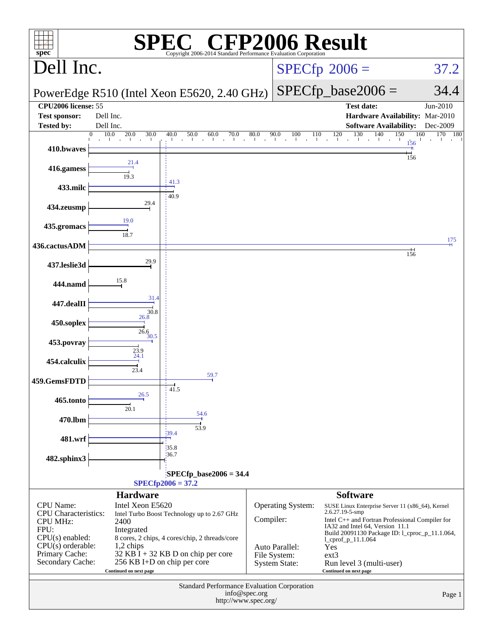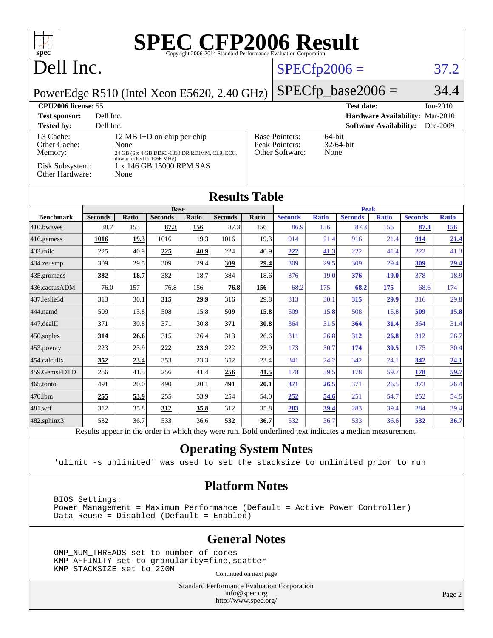| <b>SPEC CFP2006 Result</b><br>TI L<br>spec <sup>®</sup><br>Copyright 2006-2014 Standard Performance Evaluation Corporation |                                                                       |                          |                |             |                                                           |       |                   |                |                |                               |                |              |
|----------------------------------------------------------------------------------------------------------------------------|-----------------------------------------------------------------------|--------------------------|----------------|-------------|-----------------------------------------------------------|-------|-------------------|----------------|----------------|-------------------------------|----------------|--------------|
| Dell Inc.                                                                                                                  |                                                                       |                          |                |             |                                                           |       |                   | $SPECfp2006 =$ |                |                               |                | 37.2         |
| $SPECfp\_base2006 =$<br>PowerEdge R510 (Intel Xeon E5620, 2.40 GHz)                                                        |                                                                       |                          |                |             |                                                           |       | 34.4              |                |                |                               |                |              |
| <b>CPU2006</b> license: 55                                                                                                 |                                                                       |                          |                |             |                                                           |       | <b>Test date:</b> |                |                | $Jun-2010$                    |                |              |
| <b>Test sponsor:</b><br>Dell Inc.<br><b>Hardware Availability: Mar-2010</b>                                                |                                                                       |                          |                |             |                                                           |       |                   |                |                |                               |                |              |
| <b>Tested by:</b>                                                                                                          | Dell Inc.                                                             |                          |                |             |                                                           |       |                   |                |                | <b>Software Availability:</b> |                | Dec-2009     |
| L <sub>3</sub> Cache:<br>12 MB I+D on chip per chip                                                                        |                                                                       |                          |                |             | <b>Base Pointers:</b><br>64-bit                           |       |                   |                |                |                               |                |              |
| Memory:                                                                                                                    | Other Cache:<br>None<br>24 GB (6 x 4 GB DDR3-1333 DR RDIMM, CL9, ECC, |                          |                |             | Peak Pointers:<br>$32/64$ -bit<br>Other Software:<br>None |       |                   |                |                |                               |                |              |
|                                                                                                                            |                                                                       | downclocked to 1066 MHz) |                |             |                                                           |       |                   |                |                |                               |                |              |
| Disk Subsystem:<br>1 x 146 GB 15000 RPM SAS<br>Other Hardware:<br>None                                                     |                                                                       |                          |                |             |                                                           |       |                   |                |                |                               |                |              |
| <b>Results Table</b>                                                                                                       |                                                                       |                          |                |             |                                                           |       |                   |                |                |                               |                |              |
|                                                                                                                            |                                                                       |                          |                | <b>Base</b> |                                                           |       |                   |                | <b>Peak</b>    |                               |                |              |
| <b>Benchmark</b>                                                                                                           | <b>Seconds</b>                                                        | Ratio                    | <b>Seconds</b> | Ratio       | <b>Seconds</b>                                            | Ratio | <b>Seconds</b>    | <b>Ratio</b>   | <b>Seconds</b> | <b>Ratio</b>                  | <b>Seconds</b> | <b>Ratio</b> |
| 410.bwayes                                                                                                                 | 88.7                                                                  | 153                      | 87.3           | 156         | 87.3                                                      | 156   | 86.9              | 156            | 87.3           | 156                           | 87.3           | 156          |
| 416.gamess                                                                                                                 | 1016                                                                  | 19.3                     | 1016           | 19.3        | 1016                                                      | 19.3  | 914               | 21.4           | 916            | 21.4                          | 914            | 21.4         |
| 433.milc                                                                                                                   | 225                                                                   | 40.9                     | 225            | 40.9        | 224                                                       | 40.9  | 222               | 41.3           | 222            | 41.4                          | 222            | 41.3         |
| 434.zeusmp                                                                                                                 | 309                                                                   | 29.5                     | 309            | 29.4        | 309                                                       | 29.4  | 309               | 29.5           | 309            | 29.4                          | 309            | 29.4         |
| 435.gromacs                                                                                                                | 382                                                                   | 18.7                     | 382            | 18.7        | 384                                                       | 18.6  | 376               | 19.0           | 376            | <b>19.0</b>                   | 378            | 18.9         |
| 436.cactusADM                                                                                                              | 76.0                                                                  | 157                      | 76.8           | 156         | 76.8                                                      | 156   | 68.2              | 175            | 68.2           | 175                           | 68.6           | 174          |
| 437.leslie3d                                                                                                               | 313                                                                   | 30.1                     | 315            | 29.9        | 316                                                       | 29.8  | 313               | 30.1           | 315            | 29.9                          | 316            | 29.8         |
| 444.namd                                                                                                                   | 509                                                                   | 15.8                     | 508            | 15.8        | 509                                                       | 15.8  | 509               | 15.8           | 508            | 15.8                          | 509            | 15.8         |
| 447.dealII                                                                                                                 | 371                                                                   | 30.8                     | 371            | 30.8        | 371                                                       | 30.8  | 364               | 31.5           | 364            | 31.4                          | 364            | 31.4         |
| 450.soplex                                                                                                                 | 314                                                                   | 26.6                     | 315            | 26.4        | 313                                                       | 26.6  | 311               | 26.8           | 312            | 26.8                          | 312            | 26.7         |
| 453.povray                                                                                                                 | 223                                                                   | 23.9                     | 222            | 23.9        | 222                                                       | 23.9  | 173               | 30.7           | 174            | 30.5                          | 175            | 30.4         |
| 454.calculix                                                                                                               | 352                                                                   | 23.4                     | 353            | 23.3        | 352                                                       | 23.4  | 341               | 24.2           | 342            | 24.1                          | 342            | 24.1         |
| 459.GemsFDTD                                                                                                               | 256                                                                   | 41.5                     | 256            | 41.4        | 256                                                       | 41.5  | 178               | 59.5           | 178            | 59.7                          | 178            | 59.7         |
| 465.tonto                                                                                                                  | 491                                                                   | 20.0                     | 490            | 20.1        | 491                                                       | 20.1  | 371               | 26.5           | 371            | 26.5                          | 373            | 26.4         |
| 470.lbm                                                                                                                    | 255                                                                   | 53.9                     | 255            | 53.9        | 254                                                       | 54.0  | 252               | 54.6           | 251            | 54.7                          | 252            | 54.5         |
| 481.wrf                                                                                                                    | 312                                                                   | 35.8                     | 312            | 35.8        | 312                                                       | 35.8  | 283               | 39.4           | 283            | 39.4                          | 284            | 39.4         |
| 482.sphinx3                                                                                                                | 532                                                                   | 36.7                     | 533            | 36.6        | 532                                                       | 36.7  | 532               | 36.7           | 533            | 36.6                          | 532            | 36.7         |

Results appear in the [order in which they were run.](http://www.spec.org/auto/cpu2006/Docs/result-fields.html#RunOrder) Bold underlined text [indicates a median measurement.](http://www.spec.org/auto/cpu2006/Docs/result-fields.html#Median)

#### **[Operating System Notes](http://www.spec.org/auto/cpu2006/Docs/result-fields.html#OperatingSystemNotes)**

'ulimit -s unlimited' was used to set the stacksize to unlimited prior to run

#### **[Platform Notes](http://www.spec.org/auto/cpu2006/Docs/result-fields.html#PlatformNotes)**

 BIOS Settings: Power Management = Maximum Performance (Default = Active Power Controller) Data Reuse = Disabled (Default = Enabled)

#### **[General Notes](http://www.spec.org/auto/cpu2006/Docs/result-fields.html#GeneralNotes)**

 OMP\_NUM\_THREADS set to number of cores KMP\_AFFINITY set to granularity=fine,scatter KMP\_STACKSIZE set to 200M

Continued on next page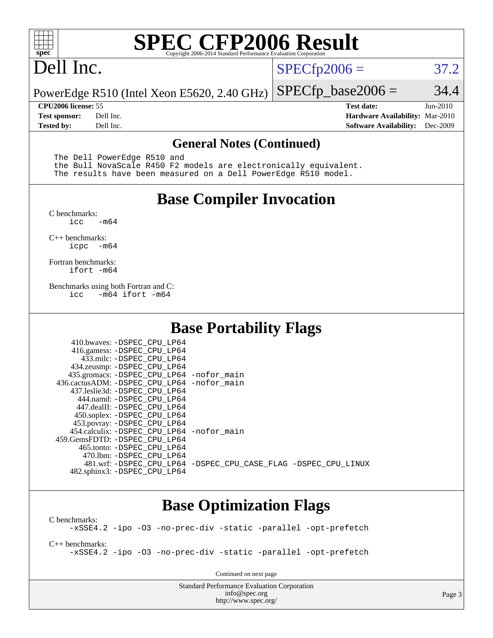

# **[SPEC CFP2006 Result](http://www.spec.org/auto/cpu2006/Docs/result-fields.html#SPECCFP2006Result)**

# Dell Inc.

 $SPECTp2006 = 37.2$ 

PowerEdge R510 (Intel Xeon E5620, 2.40 GHz)  $SPECfp\_base2006 = 34.4$ 

**[CPU2006 license:](http://www.spec.org/auto/cpu2006/Docs/result-fields.html#CPU2006license)** 55 **[Test date:](http://www.spec.org/auto/cpu2006/Docs/result-fields.html#Testdate)** Jun-2010 **[Test sponsor:](http://www.spec.org/auto/cpu2006/Docs/result-fields.html#Testsponsor)** Dell Inc. **[Hardware Availability:](http://www.spec.org/auto/cpu2006/Docs/result-fields.html#HardwareAvailability)** Mar-2010 **[Tested by:](http://www.spec.org/auto/cpu2006/Docs/result-fields.html#Testedby)** Dell Inc. **[Software Availability:](http://www.spec.org/auto/cpu2006/Docs/result-fields.html#SoftwareAvailability)** Dec-2009

#### **[General Notes \(Continued\)](http://www.spec.org/auto/cpu2006/Docs/result-fields.html#GeneralNotes)**

The Dell PowerEdge R510 and

 the Bull NovaScale R450 F2 models are electronically equivalent. The results have been measured on a Dell PowerEdge R510 model.

#### **[Base Compiler Invocation](http://www.spec.org/auto/cpu2006/Docs/result-fields.html#BaseCompilerInvocation)**

[C benchmarks](http://www.spec.org/auto/cpu2006/Docs/result-fields.html#Cbenchmarks):  $-m64$ 

[C++ benchmarks:](http://www.spec.org/auto/cpu2006/Docs/result-fields.html#CXXbenchmarks) [icpc -m64](http://www.spec.org/cpu2006/results/res2010q3/cpu2006-20100913-13219.flags.html#user_CXXbase_intel_icpc_64bit_bedb90c1146cab66620883ef4f41a67e)

[Fortran benchmarks](http://www.spec.org/auto/cpu2006/Docs/result-fields.html#Fortranbenchmarks): [ifort -m64](http://www.spec.org/cpu2006/results/res2010q3/cpu2006-20100913-13219.flags.html#user_FCbase_intel_ifort_64bit_ee9d0fb25645d0210d97eb0527dcc06e)

[Benchmarks using both Fortran and C](http://www.spec.org/auto/cpu2006/Docs/result-fields.html#BenchmarksusingbothFortranandC): [icc -m64](http://www.spec.org/cpu2006/results/res2010q3/cpu2006-20100913-13219.flags.html#user_CC_FCbase_intel_icc_64bit_0b7121f5ab7cfabee23d88897260401c) [ifort -m64](http://www.spec.org/cpu2006/results/res2010q3/cpu2006-20100913-13219.flags.html#user_CC_FCbase_intel_ifort_64bit_ee9d0fb25645d0210d97eb0527dcc06e)

#### **[Base Portability Flags](http://www.spec.org/auto/cpu2006/Docs/result-fields.html#BasePortabilityFlags)**

| 410.bwaves: -DSPEC CPU LP64<br>416.gamess: -DSPEC_CPU_LP64<br>433.milc: -DSPEC CPU LP64<br>434.zeusmp: -DSPEC_CPU_LP64<br>435.gromacs: -DSPEC_CPU_LP64 -nofor_main<br>436.cactusADM: -DSPEC CPU LP64 -nofor main<br>437.leslie3d: -DSPEC CPU LP64<br>444.namd: -DSPEC CPU LP64<br>447.dealII: -DSPEC CPU LP64 |                                                                |
|---------------------------------------------------------------------------------------------------------------------------------------------------------------------------------------------------------------------------------------------------------------------------------------------------------------|----------------------------------------------------------------|
| 450.soplex: -DSPEC_CPU_LP64<br>453.povray: -DSPEC_CPU_LP64<br>454.calculix: - DSPEC CPU LP64 - nofor main<br>459. GemsFDTD: - DSPEC CPU LP64<br>465.tonto: - DSPEC CPU LP64                                                                                                                                   |                                                                |
| 470.1bm: - DSPEC CPU LP64<br>482.sphinx3: -DSPEC_CPU_LP64                                                                                                                                                                                                                                                     | 481.wrf: -DSPEC CPU_LP64 -DSPEC_CPU_CASE_FLAG -DSPEC_CPU_LINUX |

#### **[Base Optimization Flags](http://www.spec.org/auto/cpu2006/Docs/result-fields.html#BaseOptimizationFlags)**

[C benchmarks](http://www.spec.org/auto/cpu2006/Docs/result-fields.html#Cbenchmarks): [-xSSE4.2](http://www.spec.org/cpu2006/results/res2010q3/cpu2006-20100913-13219.flags.html#user_CCbase_f-xSSE42_f91528193cf0b216347adb8b939d4107) [-ipo](http://www.spec.org/cpu2006/results/res2010q3/cpu2006-20100913-13219.flags.html#user_CCbase_f-ipo) [-O3](http://www.spec.org/cpu2006/results/res2010q3/cpu2006-20100913-13219.flags.html#user_CCbase_f-O3) [-no-prec-div](http://www.spec.org/cpu2006/results/res2010q3/cpu2006-20100913-13219.flags.html#user_CCbase_f-no-prec-div) [-static](http://www.spec.org/cpu2006/results/res2010q3/cpu2006-20100913-13219.flags.html#user_CCbase_f-static) [-parallel](http://www.spec.org/cpu2006/results/res2010q3/cpu2006-20100913-13219.flags.html#user_CCbase_f-parallel) [-opt-prefetch](http://www.spec.org/cpu2006/results/res2010q3/cpu2006-20100913-13219.flags.html#user_CCbase_f-opt-prefetch)

[C++ benchmarks:](http://www.spec.org/auto/cpu2006/Docs/result-fields.html#CXXbenchmarks) [-xSSE4.2](http://www.spec.org/cpu2006/results/res2010q3/cpu2006-20100913-13219.flags.html#user_CXXbase_f-xSSE42_f91528193cf0b216347adb8b939d4107) [-ipo](http://www.spec.org/cpu2006/results/res2010q3/cpu2006-20100913-13219.flags.html#user_CXXbase_f-ipo) [-O3](http://www.spec.org/cpu2006/results/res2010q3/cpu2006-20100913-13219.flags.html#user_CXXbase_f-O3) [-no-prec-div](http://www.spec.org/cpu2006/results/res2010q3/cpu2006-20100913-13219.flags.html#user_CXXbase_f-no-prec-div) [-static](http://www.spec.org/cpu2006/results/res2010q3/cpu2006-20100913-13219.flags.html#user_CXXbase_f-static) [-parallel](http://www.spec.org/cpu2006/results/res2010q3/cpu2006-20100913-13219.flags.html#user_CXXbase_f-parallel) [-opt-prefetch](http://www.spec.org/cpu2006/results/res2010q3/cpu2006-20100913-13219.flags.html#user_CXXbase_f-opt-prefetch)

Continued on next page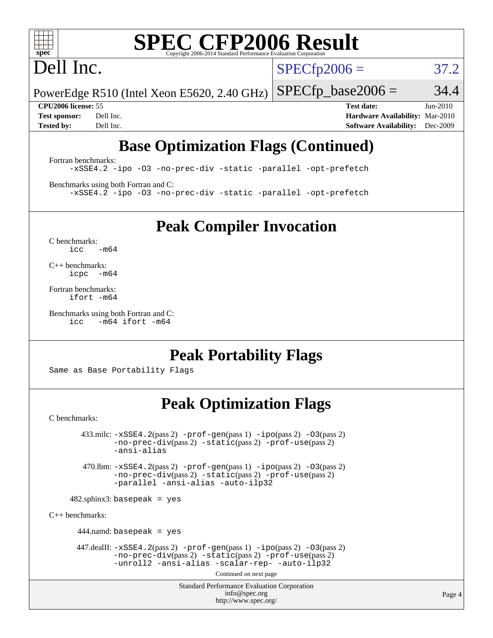

# **[SPEC CFP2006 Result](http://www.spec.org/auto/cpu2006/Docs/result-fields.html#SPECCFP2006Result)**

# Dell Inc.

 $SPECTp2006 = 37.2$ 

PowerEdge R510 (Intel Xeon E5620, 2.40 GHz)  $SPECTp\_base2006 = 34.4$ 

**[CPU2006 license:](http://www.spec.org/auto/cpu2006/Docs/result-fields.html#CPU2006license)** 55 **[Test date:](http://www.spec.org/auto/cpu2006/Docs/result-fields.html#Testdate)** Jun-2010 **[Test sponsor:](http://www.spec.org/auto/cpu2006/Docs/result-fields.html#Testsponsor)** Dell Inc. **[Hardware Availability:](http://www.spec.org/auto/cpu2006/Docs/result-fields.html#HardwareAvailability)** Mar-2010 **[Tested by:](http://www.spec.org/auto/cpu2006/Docs/result-fields.html#Testedby)** Dell Inc. **[Software Availability:](http://www.spec.org/auto/cpu2006/Docs/result-fields.html#SoftwareAvailability)** Dec-2009

## **[Base Optimization Flags \(Continued\)](http://www.spec.org/auto/cpu2006/Docs/result-fields.html#BaseOptimizationFlags)**

[Fortran benchmarks](http://www.spec.org/auto/cpu2006/Docs/result-fields.html#Fortranbenchmarks): [-xSSE4.2](http://www.spec.org/cpu2006/results/res2010q3/cpu2006-20100913-13219.flags.html#user_FCbase_f-xSSE42_f91528193cf0b216347adb8b939d4107) [-ipo](http://www.spec.org/cpu2006/results/res2010q3/cpu2006-20100913-13219.flags.html#user_FCbase_f-ipo) [-O3](http://www.spec.org/cpu2006/results/res2010q3/cpu2006-20100913-13219.flags.html#user_FCbase_f-O3) [-no-prec-div](http://www.spec.org/cpu2006/results/res2010q3/cpu2006-20100913-13219.flags.html#user_FCbase_f-no-prec-div) [-static](http://www.spec.org/cpu2006/results/res2010q3/cpu2006-20100913-13219.flags.html#user_FCbase_f-static) [-parallel](http://www.spec.org/cpu2006/results/res2010q3/cpu2006-20100913-13219.flags.html#user_FCbase_f-parallel) [-opt-prefetch](http://www.spec.org/cpu2006/results/res2010q3/cpu2006-20100913-13219.flags.html#user_FCbase_f-opt-prefetch)

[Benchmarks using both Fortran and C](http://www.spec.org/auto/cpu2006/Docs/result-fields.html#BenchmarksusingbothFortranandC): [-xSSE4.2](http://www.spec.org/cpu2006/results/res2010q3/cpu2006-20100913-13219.flags.html#user_CC_FCbase_f-xSSE42_f91528193cf0b216347adb8b939d4107) [-ipo](http://www.spec.org/cpu2006/results/res2010q3/cpu2006-20100913-13219.flags.html#user_CC_FCbase_f-ipo) [-O3](http://www.spec.org/cpu2006/results/res2010q3/cpu2006-20100913-13219.flags.html#user_CC_FCbase_f-O3) [-no-prec-div](http://www.spec.org/cpu2006/results/res2010q3/cpu2006-20100913-13219.flags.html#user_CC_FCbase_f-no-prec-div) [-static](http://www.spec.org/cpu2006/results/res2010q3/cpu2006-20100913-13219.flags.html#user_CC_FCbase_f-static) [-parallel](http://www.spec.org/cpu2006/results/res2010q3/cpu2006-20100913-13219.flags.html#user_CC_FCbase_f-parallel) [-opt-prefetch](http://www.spec.org/cpu2006/results/res2010q3/cpu2006-20100913-13219.flags.html#user_CC_FCbase_f-opt-prefetch)

**[Peak Compiler Invocation](http://www.spec.org/auto/cpu2006/Docs/result-fields.html#PeakCompilerInvocation)**

[C benchmarks](http://www.spec.org/auto/cpu2006/Docs/result-fields.html#Cbenchmarks):  $icc$   $-m64$ 

[C++ benchmarks:](http://www.spec.org/auto/cpu2006/Docs/result-fields.html#CXXbenchmarks) [icpc -m64](http://www.spec.org/cpu2006/results/res2010q3/cpu2006-20100913-13219.flags.html#user_CXXpeak_intel_icpc_64bit_bedb90c1146cab66620883ef4f41a67e)

[Fortran benchmarks](http://www.spec.org/auto/cpu2006/Docs/result-fields.html#Fortranbenchmarks): [ifort -m64](http://www.spec.org/cpu2006/results/res2010q3/cpu2006-20100913-13219.flags.html#user_FCpeak_intel_ifort_64bit_ee9d0fb25645d0210d97eb0527dcc06e)

[Benchmarks using both Fortran and C](http://www.spec.org/auto/cpu2006/Docs/result-fields.html#BenchmarksusingbothFortranandC): [icc -m64](http://www.spec.org/cpu2006/results/res2010q3/cpu2006-20100913-13219.flags.html#user_CC_FCpeak_intel_icc_64bit_0b7121f5ab7cfabee23d88897260401c) [ifort -m64](http://www.spec.org/cpu2006/results/res2010q3/cpu2006-20100913-13219.flags.html#user_CC_FCpeak_intel_ifort_64bit_ee9d0fb25645d0210d97eb0527dcc06e)

## **[Peak Portability Flags](http://www.spec.org/auto/cpu2006/Docs/result-fields.html#PeakPortabilityFlags)**

Same as Base Portability Flags

## **[Peak Optimization Flags](http://www.spec.org/auto/cpu2006/Docs/result-fields.html#PeakOptimizationFlags)**

[C benchmarks](http://www.spec.org/auto/cpu2006/Docs/result-fields.html#Cbenchmarks):

 $433 \text{.}$ milc:  $-xSSE4$ .  $2(pass 2)$  - $prof-gen(pass 1)$  - $ipo(pass 2)$  [-O3](http://www.spec.org/cpu2006/results/res2010q3/cpu2006-20100913-13219.flags.html#user_peakPASS2_CFLAGSPASS2_LDFLAGS433_milc_f-O3) $(pass 2)$ [-no-prec-div](http://www.spec.org/cpu2006/results/res2010q3/cpu2006-20100913-13219.flags.html#user_peakPASS2_CFLAGSPASS2_LDFLAGS433_milc_f-no-prec-div)(pass 2) [-static](http://www.spec.org/cpu2006/results/res2010q3/cpu2006-20100913-13219.flags.html#user_peakPASS2_CFLAGSPASS2_LDFLAGS433_milc_f-static)(pass 2) [-prof-use](http://www.spec.org/cpu2006/results/res2010q3/cpu2006-20100913-13219.flags.html#user_peakPASS2_CFLAGSPASS2_LDFLAGS433_milc_prof_use_bccf7792157ff70d64e32fe3e1250b55)(pass 2) [-ansi-alias](http://www.spec.org/cpu2006/results/res2010q3/cpu2006-20100913-13219.flags.html#user_peakOPTIMIZE433_milc_f-ansi-alias) 470.lbm: [-xSSE4.2](http://www.spec.org/cpu2006/results/res2010q3/cpu2006-20100913-13219.flags.html#user_peakPASS2_CFLAGSPASS2_LDFLAGS470_lbm_f-xSSE42_f91528193cf0b216347adb8b939d4107)(pass 2) [-prof-gen](http://www.spec.org/cpu2006/results/res2010q3/cpu2006-20100913-13219.flags.html#user_peakPASS1_CFLAGSPASS1_LDFLAGS470_lbm_prof_gen_e43856698f6ca7b7e442dfd80e94a8fc)(pass 1) [-ipo](http://www.spec.org/cpu2006/results/res2010q3/cpu2006-20100913-13219.flags.html#user_peakPASS2_CFLAGSPASS2_LDFLAGS470_lbm_f-ipo)(pass 2) [-O3](http://www.spec.org/cpu2006/results/res2010q3/cpu2006-20100913-13219.flags.html#user_peakPASS2_CFLAGSPASS2_LDFLAGS470_lbm_f-O3)(pass 2) [-no-prec-div](http://www.spec.org/cpu2006/results/res2010q3/cpu2006-20100913-13219.flags.html#user_peakPASS2_CFLAGSPASS2_LDFLAGS470_lbm_f-no-prec-div)(pass 2) [-static](http://www.spec.org/cpu2006/results/res2010q3/cpu2006-20100913-13219.flags.html#user_peakPASS2_CFLAGSPASS2_LDFLAGS470_lbm_f-static)(pass 2) [-prof-use](http://www.spec.org/cpu2006/results/res2010q3/cpu2006-20100913-13219.flags.html#user_peakPASS2_CFLAGSPASS2_LDFLAGS470_lbm_prof_use_bccf7792157ff70d64e32fe3e1250b55)(pass 2) [-parallel](http://www.spec.org/cpu2006/results/res2010q3/cpu2006-20100913-13219.flags.html#user_peakOPTIMIZE470_lbm_f-parallel) [-ansi-alias](http://www.spec.org/cpu2006/results/res2010q3/cpu2006-20100913-13219.flags.html#user_peakOPTIMIZE470_lbm_f-ansi-alias) [-auto-ilp32](http://www.spec.org/cpu2006/results/res2010q3/cpu2006-20100913-13219.flags.html#user_peakCOPTIMIZE470_lbm_f-auto-ilp32)  $482$ .sphinx3: basepeak = yes [C++ benchmarks:](http://www.spec.org/auto/cpu2006/Docs/result-fields.html#CXXbenchmarks) 444.namd: basepeak = yes 447.dealII: [-xSSE4.2](http://www.spec.org/cpu2006/results/res2010q3/cpu2006-20100913-13219.flags.html#user_peakPASS2_CXXFLAGSPASS2_LDFLAGS447_dealII_f-xSSE42_f91528193cf0b216347adb8b939d4107)(pass 2) [-prof-gen](http://www.spec.org/cpu2006/results/res2010q3/cpu2006-20100913-13219.flags.html#user_peakPASS1_CXXFLAGSPASS1_LDFLAGS447_dealII_prof_gen_e43856698f6ca7b7e442dfd80e94a8fc)(pass 1) [-ipo](http://www.spec.org/cpu2006/results/res2010q3/cpu2006-20100913-13219.flags.html#user_peakPASS2_CXXFLAGSPASS2_LDFLAGS447_dealII_f-ipo)(pass 2) [-O3](http://www.spec.org/cpu2006/results/res2010q3/cpu2006-20100913-13219.flags.html#user_peakPASS2_CXXFLAGSPASS2_LDFLAGS447_dealII_f-O3)(pass 2) [-no-prec-div](http://www.spec.org/cpu2006/results/res2010q3/cpu2006-20100913-13219.flags.html#user_peakPASS2_CXXFLAGSPASS2_LDFLAGS447_dealII_f-no-prec-div)(pass 2) [-static](http://www.spec.org/cpu2006/results/res2010q3/cpu2006-20100913-13219.flags.html#user_peakPASS2_CXXFLAGSPASS2_LDFLAGS447_dealII_f-static)(pass 2) [-prof-use](http://www.spec.org/cpu2006/results/res2010q3/cpu2006-20100913-13219.flags.html#user_peakPASS2_CXXFLAGSPASS2_LDFLAGS447_dealII_prof_use_bccf7792157ff70d64e32fe3e1250b55)(pass 2) [-unroll2](http://www.spec.org/cpu2006/results/res2010q3/cpu2006-20100913-13219.flags.html#user_peakOPTIMIZE447_dealII_f-unroll_784dae83bebfb236979b41d2422d7ec2) [-ansi-alias](http://www.spec.org/cpu2006/results/res2010q3/cpu2006-20100913-13219.flags.html#user_peakOPTIMIZE447_dealII_f-ansi-alias) [-scalar-rep-](http://www.spec.org/cpu2006/results/res2010q3/cpu2006-20100913-13219.flags.html#user_peakOPTIMIZE447_dealII_f-disablescalarrep_abbcad04450fb118e4809c81d83c8a1d) [-auto-ilp32](http://www.spec.org/cpu2006/results/res2010q3/cpu2006-20100913-13219.flags.html#user_peakCXXOPTIMIZE447_dealII_f-auto-ilp32)

Continued on next page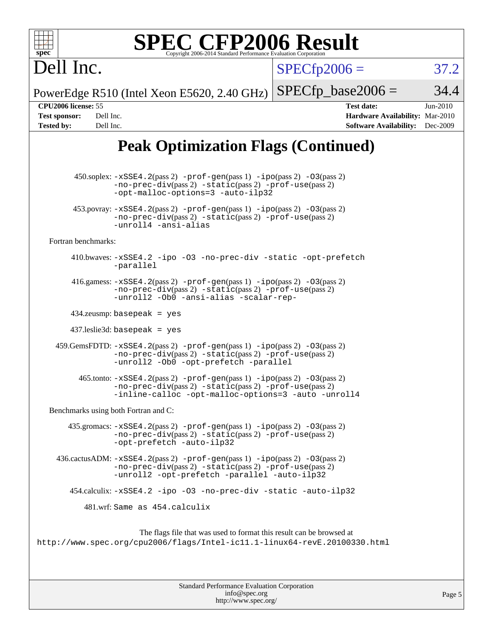| $spec^*$                                                                                                                                                                             | <b>SPEC CFP2006 Result</b><br>Copyright 2006-2014 Standard Performance Evaluation Corporation                                                                                                         |                      |                                                                                       |                      |
|--------------------------------------------------------------------------------------------------------------------------------------------------------------------------------------|-------------------------------------------------------------------------------------------------------------------------------------------------------------------------------------------------------|----------------------|---------------------------------------------------------------------------------------|----------------------|
| Dell Inc.                                                                                                                                                                            |                                                                                                                                                                                                       | $SPECfp2006 =$       |                                                                                       | 37.2                 |
|                                                                                                                                                                                      | PowerEdge R510 (Intel Xeon E5620, 2.40 GHz)                                                                                                                                                           | $SPECfp\_base2006 =$ |                                                                                       | 34.4                 |
| CPU2006 license: 55<br><b>Test sponsor:</b><br>Dell Inc.<br><b>Tested by:</b><br>Dell Inc.                                                                                           |                                                                                                                                                                                                       |                      | <b>Test date:</b><br>Hardware Availability: Mar-2010<br><b>Software Availability:</b> | Jun-2010<br>Dec-2009 |
|                                                                                                                                                                                      | <b>Peak Optimization Flags (Continued)</b>                                                                                                                                                            |                      |                                                                                       |                      |
|                                                                                                                                                                                      | 450.soplex: -xSSE4.2(pass 2) -prof-gen(pass 1) -ipo(pass 2) -03(pass 2)<br>$-no-prec-div(pass 2) -static(pass 2) -prof-use(pass 2)$<br>-opt-malloc-options=3 -auto-ilp32                              |                      |                                                                                       |                      |
|                                                                                                                                                                                      | $453.$ povray: $-xSSE4.2(pass 2) -prof-gen(pass 1) -ipo(pass 2) -03(pass 2)$<br>-no-prec-div(pass 2) -static(pass 2) -prof-use(pass 2)<br>-unroll4 -ansi-alias                                        |                      |                                                                                       |                      |
| Fortran benchmarks:                                                                                                                                                                  |                                                                                                                                                                                                       |                      |                                                                                       |                      |
|                                                                                                                                                                                      | 410.bwaves: -xSSE4.2 -ipo -03 -no-prec-div -static -opt-prefetch<br>-parallel                                                                                                                         |                      |                                                                                       |                      |
|                                                                                                                                                                                      | 416.gamess: $-xSSE4$ . 2(pass 2) $-prof-gen(pass 1) -ipo(pass 2) -03(pass 2)$<br>$-no\text{-prec-div}(pass 2)$ $-static(pass 2)$ $-prot\text{-use}(pass 2)$<br>-unroll2 -Ob0 -ansi-alias -scalar-rep- |                      |                                                                                       |                      |
|                                                                                                                                                                                      | $434$ .zeusmp: basepeak = yes                                                                                                                                                                         |                      |                                                                                       |                      |
|                                                                                                                                                                                      | $437$ .leslie3d: basepeak = yes                                                                                                                                                                       |                      |                                                                                       |                      |
|                                                                                                                                                                                      | 459. GemsFDTD: -xSSE4. 2(pass 2) -prof-gen(pass 1) -ipo(pass 2) -03(pass 2)<br>-no-prec-div(pass 2) -static(pass 2) -prof-use(pass 2)<br>-unroll2 - Ob0 - opt-prefetch - parallel                     |                      |                                                                                       |                      |
|                                                                                                                                                                                      | $465$ .tonto: $-xSSE4$ . $2(pass 2)$ -prof-gen(pass 1) -ipo(pass 2) -03(pass 2)<br>-no-prec-div(pass 2) -static(pass 2) -prof-use(pass 2)<br>-inline-calloc -opt-malloc-options=3 -auto -unroll4      |                      |                                                                                       |                      |
|                                                                                                                                                                                      | Benchmarks using both Fortran and C:                                                                                                                                                                  |                      |                                                                                       |                      |
|                                                                                                                                                                                      | 435.gromacs: $-xSSE4$ . 2(pass 2) $-prof$ -gen(pass 1) $-ipo$ (pass 2) $-O3$ (pass 2)<br>$-no-prec-div(pass 2) -static(pass 2) -prof-use(pass 2)$<br>-opt-prefetch -auto-ilp32                        |                      |                                                                                       |                      |
| 436.cactusADM: -xSSE4.2(pass 2) -prof-gen(pass 1) -ipo(pass 2) -03(pass 2)<br>-no-prec-div(pass 2) -static(pass 2) -prof-use(pass 2)<br>-unroll2 -opt-prefetch -parallel -auto-ilp32 |                                                                                                                                                                                                       |                      |                                                                                       |                      |
|                                                                                                                                                                                      | 454.calculix: -xSSE4.2 -ipo -03 -no-prec-div -static -auto-ilp32                                                                                                                                      |                      |                                                                                       |                      |
|                                                                                                                                                                                      | 481.wrf: Same as 454.calculix                                                                                                                                                                         |                      |                                                                                       |                      |
|                                                                                                                                                                                      | The flags file that was used to format this result can be browsed at<br>http://www.spec.org/cpu2006/flags/Intel-icll.1-linux64-revE.20100330.html                                                     |                      |                                                                                       |                      |